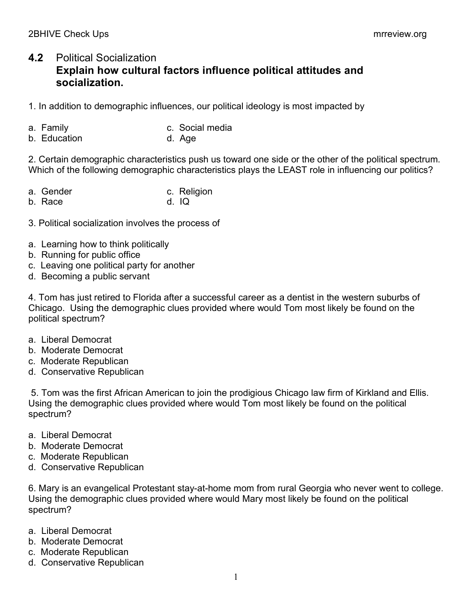## **4.2** Political Socialization **Explain how cultural factors influence political attitudes and socialization.**

1. In addition to demographic influences, our political ideology is most impacted by

- a. Family c. Social media
- b. Education b. Age

2. Certain demographic characteristics push us toward one side or the other of the political spectrum. Which of the following demographic characteristics plays the LEAST role in influencing our politics?

| a. Gender | c. Religion |
|-----------|-------------|
| b. Race   | $d.$ IQ     |

- 3. Political socialization involves the process of
- a. Learning how to think politically
- b. Running for public office
- c. Leaving one political party for another
- d. Becoming a public servant

4. Tom has just retired to Florida after a successful career as a dentist in the western suburbs of Chicago. Using the demographic clues provided where would Tom most likely be found on the political spectrum?

- a. Liberal Democrat
- b. Moderate Democrat
- c. Moderate Republican
- d. Conservative Republican

5. Tom was the first African American to join the prodigious Chicago law firm of Kirkland and Ellis. Using the demographic clues provided where would Tom most likely be found on the political spectrum?

- a. Liberal Democrat
- b. Moderate Democrat
- c. Moderate Republican
- d. Conservative Republican

6. Mary is an evangelical Protestant stay-at-home mom from rural Georgia who never went to college. Using the demographic clues provided where would Mary most likely be found on the political spectrum?

- a. Liberal Democrat
- b. Moderate Democrat
- c. Moderate Republican
- d. Conservative Republican